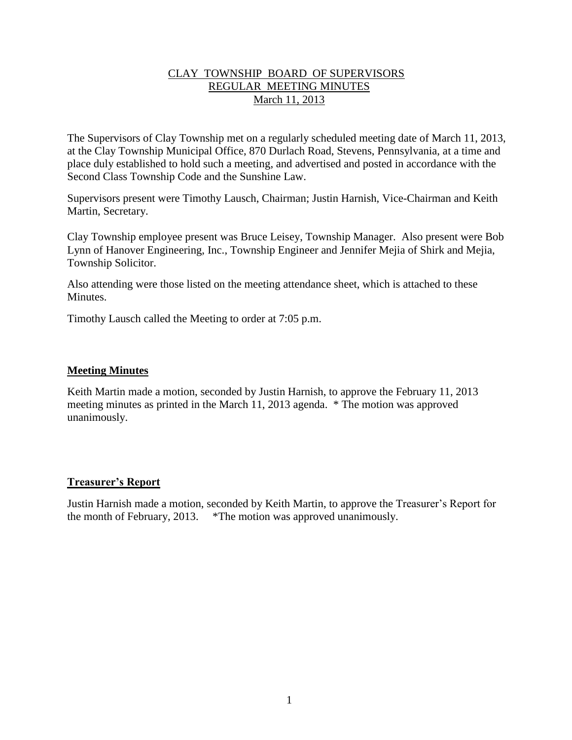## CLAY TOWNSHIP BOARD OF SUPERVISORS REGULAR MEETING MINUTES March 11, 2013

The Supervisors of Clay Township met on a regularly scheduled meeting date of March 11, 2013, at the Clay Township Municipal Office, 870 Durlach Road, Stevens, Pennsylvania, at a time and place duly established to hold such a meeting, and advertised and posted in accordance with the Second Class Township Code and the Sunshine Law.

Supervisors present were Timothy Lausch, Chairman; Justin Harnish, Vice-Chairman and Keith Martin, Secretary.

Clay Township employee present was Bruce Leisey, Township Manager. Also present were Bob Lynn of Hanover Engineering, Inc., Township Engineer and Jennifer Mejia of Shirk and Mejia, Township Solicitor.

Also attending were those listed on the meeting attendance sheet, which is attached to these **Minutes** 

Timothy Lausch called the Meeting to order at 7:05 p.m.

### **Meeting Minutes**

Keith Martin made a motion, seconded by Justin Harnish, to approve the February 11, 2013 meeting minutes as printed in the March 11, 2013 agenda. \* The motion was approved unanimously.

#### **Treasurer's Report**

Justin Harnish made a motion, seconded by Keith Martin, to approve the Treasurer's Report for the month of February, 2013. \*The motion was approved unanimously.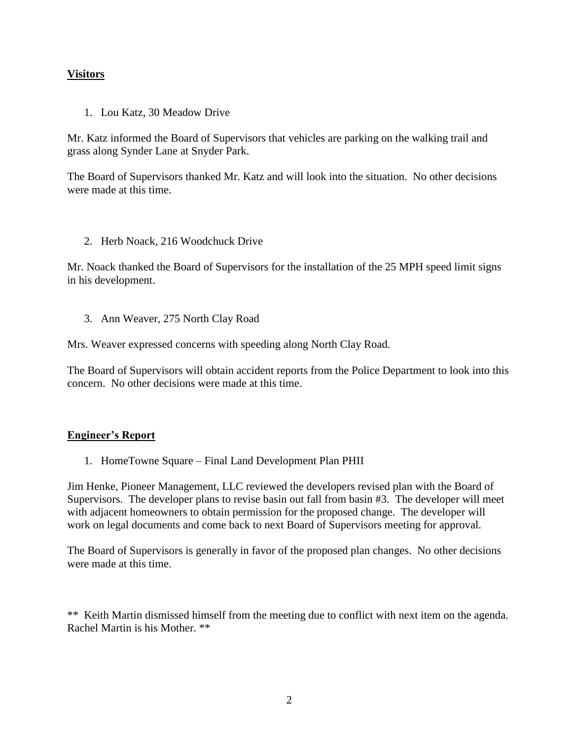### **Visitors**

1. Lou Katz, 30 Meadow Drive

Mr. Katz informed the Board of Supervisors that vehicles are parking on the walking trail and grass along Synder Lane at Snyder Park.

The Board of Supervisors thanked Mr. Katz and will look into the situation. No other decisions were made at this time.

2. Herb Noack, 216 Woodchuck Drive

Mr. Noack thanked the Board of Supervisors for the installation of the 25 MPH speed limit signs in his development.

3. Ann Weaver, 275 North Clay Road

Mrs. Weaver expressed concerns with speeding along North Clay Road.

The Board of Supervisors will obtain accident reports from the Police Department to look into this concern. No other decisions were made at this time.

#### **Engineer's Report**

1. HomeTowne Square – Final Land Development Plan PHII

Jim Henke, Pioneer Management, LLC reviewed the developers revised plan with the Board of Supervisors. The developer plans to revise basin out fall from basin #3. The developer will meet with adjacent homeowners to obtain permission for the proposed change. The developer will work on legal documents and come back to next Board of Supervisors meeting for approval.

The Board of Supervisors is generally in favor of the proposed plan changes. No other decisions were made at this time.

\*\* Keith Martin dismissed himself from the meeting due to conflict with next item on the agenda. Rachel Martin is his Mother. \*\*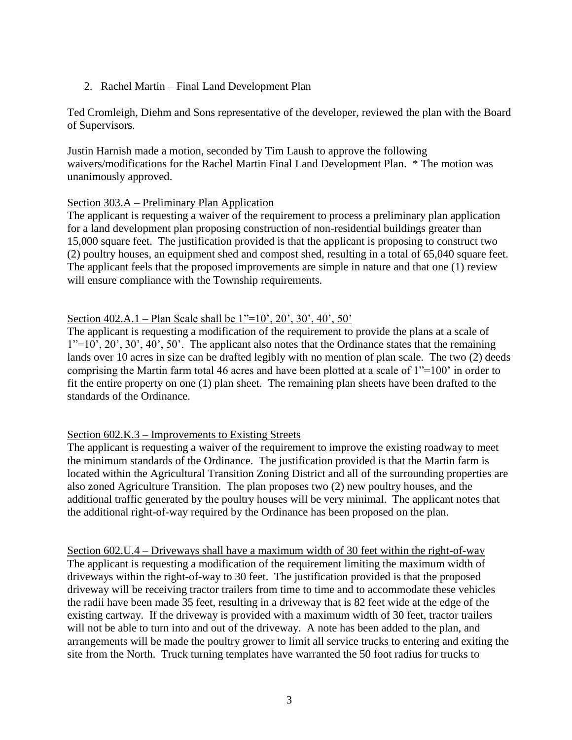### 2. Rachel Martin – Final Land Development Plan

Ted Cromleigh, Diehm and Sons representative of the developer, reviewed the plan with the Board of Supervisors.

Justin Harnish made a motion, seconded by Tim Laush to approve the following waivers/modifications for the Rachel Martin Final Land Development Plan. \* The motion was unanimously approved.

### Section 303.A – Preliminary Plan Application

The applicant is requesting a waiver of the requirement to process a preliminary plan application for a land development plan proposing construction of non-residential buildings greater than 15,000 square feet. The justification provided is that the applicant is proposing to construct two (2) poultry houses, an equipment shed and compost shed, resulting in a total of 65,040 square feet. The applicant feels that the proposed improvements are simple in nature and that one (1) review will ensure compliance with the Township requirements.

### Section 402.A.1 – Plan Scale shall be 1"=10', 20', 30', 40', 50'

The applicant is requesting a modification of the requirement to provide the plans at a scale of  $1"=10'$ ,  $20'$ ,  $30'$ ,  $40'$ ,  $50'$ . The applicant also notes that the Ordinance states that the remaining lands over 10 acres in size can be drafted legibly with no mention of plan scale. The two (2) deeds comprising the Martin farm total 46 acres and have been plotted at a scale of 1"=100' in order to fit the entire property on one (1) plan sheet. The remaining plan sheets have been drafted to the standards of the Ordinance.

## Section 602.K.3 – Improvements to Existing Streets

The applicant is requesting a waiver of the requirement to improve the existing roadway to meet the minimum standards of the Ordinance. The justification provided is that the Martin farm is located within the Agricultural Transition Zoning District and all of the surrounding properties are also zoned Agriculture Transition. The plan proposes two (2) new poultry houses, and the additional traffic generated by the poultry houses will be very minimal. The applicant notes that the additional right-of-way required by the Ordinance has been proposed on the plan.

Section 602.U.4 – Driveways shall have a maximum width of 30 feet within the right-of-way The applicant is requesting a modification of the requirement limiting the maximum width of driveways within the right-of-way to 30 feet. The justification provided is that the proposed driveway will be receiving tractor trailers from time to time and to accommodate these vehicles the radii have been made 35 feet, resulting in a driveway that is 82 feet wide at the edge of the existing cartway. If the driveway is provided with a maximum width of 30 feet, tractor trailers will not be able to turn into and out of the driveway. A note has been added to the plan, and arrangements will be made the poultry grower to limit all service trucks to entering and exiting the site from the North. Truck turning templates have warranted the 50 foot radius for trucks to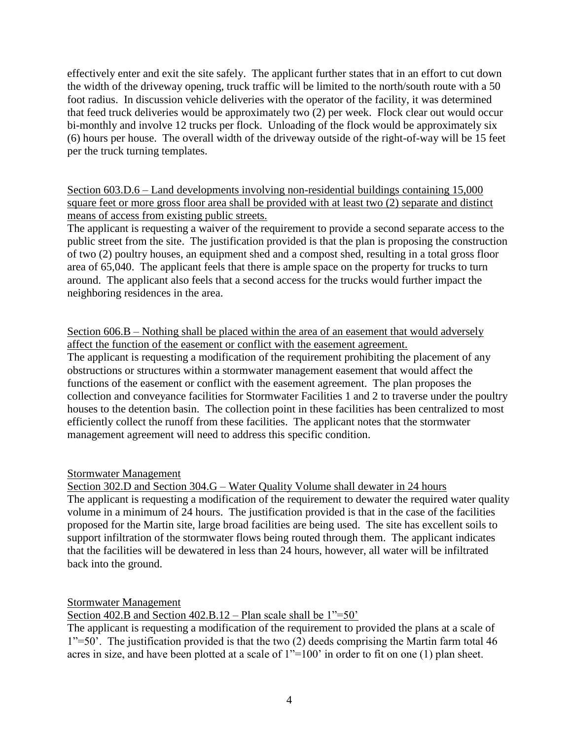effectively enter and exit the site safely. The applicant further states that in an effort to cut down the width of the driveway opening, truck traffic will be limited to the north/south route with a 50 foot radius. In discussion vehicle deliveries with the operator of the facility, it was determined that feed truck deliveries would be approximately two (2) per week. Flock clear out would occur bi-monthly and involve 12 trucks per flock. Unloading of the flock would be approximately six (6) hours per house. The overall width of the driveway outside of the right-of-way will be 15 feet per the truck turning templates.

Section 603.D.6 – Land developments involving non-residential buildings containing 15,000 square feet or more gross floor area shall be provided with at least two (2) separate and distinct means of access from existing public streets.

The applicant is requesting a waiver of the requirement to provide a second separate access to the public street from the site. The justification provided is that the plan is proposing the construction of two (2) poultry houses, an equipment shed and a compost shed, resulting in a total gross floor area of 65,040. The applicant feels that there is ample space on the property for trucks to turn around. The applicant also feels that a second access for the trucks would further impact the neighboring residences in the area.

Section 606.B – Nothing shall be placed within the area of an easement that would adversely affect the function of the easement or conflict with the easement agreement.

The applicant is requesting a modification of the requirement prohibiting the placement of any obstructions or structures within a stormwater management easement that would affect the functions of the easement or conflict with the easement agreement. The plan proposes the collection and conveyance facilities for Stormwater Facilities 1 and 2 to traverse under the poultry houses to the detention basin. The collection point in these facilities has been centralized to most efficiently collect the runoff from these facilities. The applicant notes that the stormwater management agreement will need to address this specific condition.

## Stormwater Management

Section 302.D and Section 304.G – Water Quality Volume shall dewater in 24 hours The applicant is requesting a modification of the requirement to dewater the required water quality volume in a minimum of 24 hours. The justification provided is that in the case of the facilities proposed for the Martin site, large broad facilities are being used. The site has excellent soils to support infiltration of the stormwater flows being routed through them. The applicant indicates that the facilities will be dewatered in less than 24 hours, however, all water will be infiltrated back into the ground.

Stormwater Management

Section 402.B and Section 402.B.12 – Plan scale shall be 1"=50'

The applicant is requesting a modification of the requirement to provided the plans at a scale of 1"=50'. The justification provided is that the two (2) deeds comprising the Martin farm total 46 acres in size, and have been plotted at a scale of 1"=100' in order to fit on one (1) plan sheet.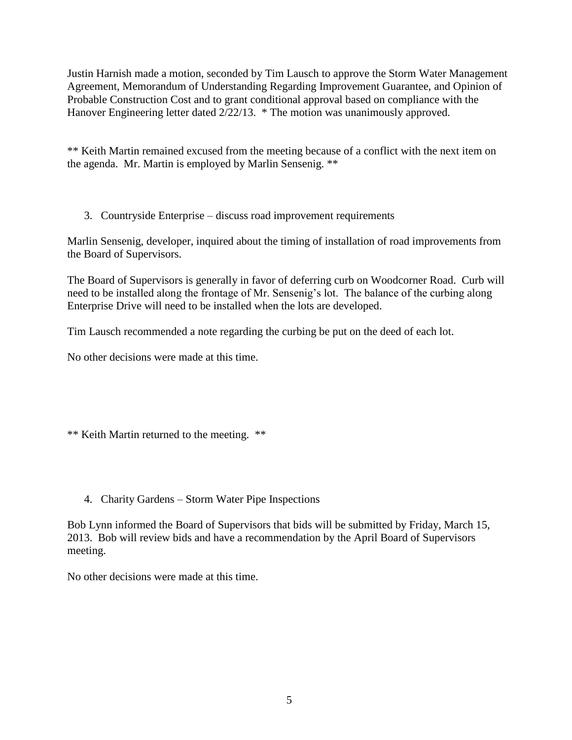Justin Harnish made a motion, seconded by Tim Lausch to approve the Storm Water Management Agreement, Memorandum of Understanding Regarding Improvement Guarantee, and Opinion of Probable Construction Cost and to grant conditional approval based on compliance with the Hanover Engineering letter dated 2/22/13. \* The motion was unanimously approved.

\*\* Keith Martin remained excused from the meeting because of a conflict with the next item on the agenda. Mr. Martin is employed by Marlin Sensenig. \*\*

3. Countryside Enterprise – discuss road improvement requirements

Marlin Sensenig, developer, inquired about the timing of installation of road improvements from the Board of Supervisors.

The Board of Supervisors is generally in favor of deferring curb on Woodcorner Road. Curb will need to be installed along the frontage of Mr. Sensenig's lot. The balance of the curbing along Enterprise Drive will need to be installed when the lots are developed.

Tim Lausch recommended a note regarding the curbing be put on the deed of each lot.

No other decisions were made at this time.

\*\* Keith Martin returned to the meeting. \*\*

#### 4. Charity Gardens – Storm Water Pipe Inspections

Bob Lynn informed the Board of Supervisors that bids will be submitted by Friday, March 15, 2013. Bob will review bids and have a recommendation by the April Board of Supervisors meeting.

No other decisions were made at this time.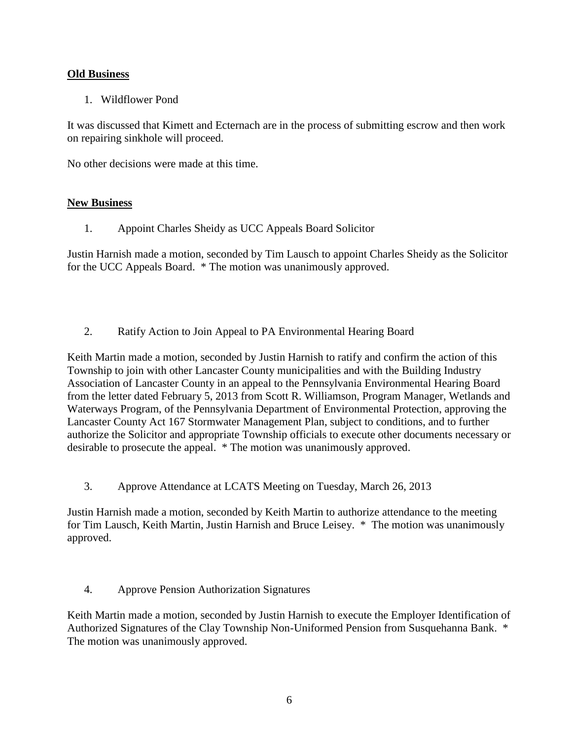### **Old Business**

1. Wildflower Pond

It was discussed that Kimett and Ecternach are in the process of submitting escrow and then work on repairing sinkhole will proceed.

No other decisions were made at this time.

#### **New Business**

1. Appoint Charles Sheidy as UCC Appeals Board Solicitor

Justin Harnish made a motion, seconded by Tim Lausch to appoint Charles Sheidy as the Solicitor for the UCC Appeals Board. \* The motion was unanimously approved.

2. Ratify Action to Join Appeal to PA Environmental Hearing Board

Keith Martin made a motion, seconded by Justin Harnish to ratify and confirm the action of this Township to join with other Lancaster County municipalities and with the Building Industry Association of Lancaster County in an appeal to the Pennsylvania Environmental Hearing Board from the letter dated February 5, 2013 from Scott R. Williamson, Program Manager, Wetlands and Waterways Program, of the Pennsylvania Department of Environmental Protection, approving the Lancaster County Act 167 Stormwater Management Plan, subject to conditions, and to further authorize the Solicitor and appropriate Township officials to execute other documents necessary or desirable to prosecute the appeal. \* The motion was unanimously approved.

3. Approve Attendance at LCATS Meeting on Tuesday, March 26, 2013

Justin Harnish made a motion, seconded by Keith Martin to authorize attendance to the meeting for Tim Lausch, Keith Martin, Justin Harnish and Bruce Leisey. \* The motion was unanimously approved.

4. Approve Pension Authorization Signatures

Keith Martin made a motion, seconded by Justin Harnish to execute the Employer Identification of Authorized Signatures of the Clay Township Non-Uniformed Pension from Susquehanna Bank. \* The motion was unanimously approved.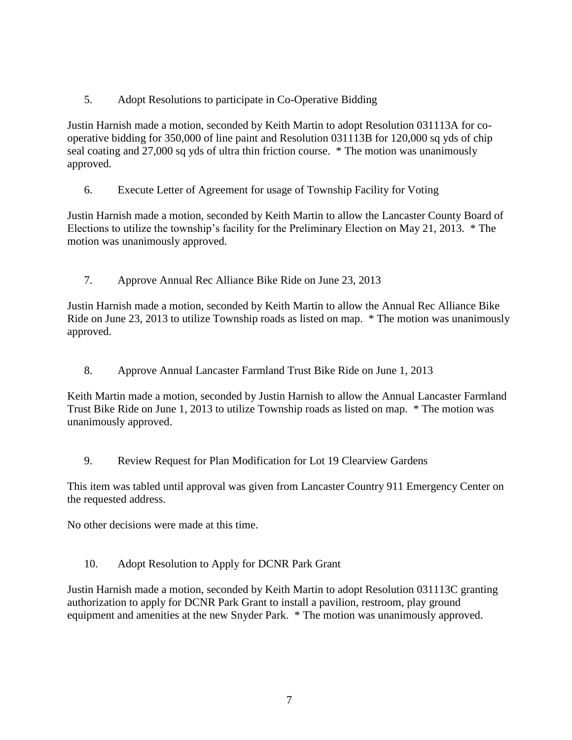5. Adopt Resolutions to participate in Co-Operative Bidding

Justin Harnish made a motion, seconded by Keith Martin to adopt Resolution 031113A for cooperative bidding for 350,000 of line paint and Resolution 031113B for 120,000 sq yds of chip seal coating and 27,000 sq yds of ultra thin friction course. \* The motion was unanimously approved.

6. Execute Letter of Agreement for usage of Township Facility for Voting

Justin Harnish made a motion, seconded by Keith Martin to allow the Lancaster County Board of Elections to utilize the township's facility for the Preliminary Election on May 21, 2013. \* The motion was unanimously approved.

7. Approve Annual Rec Alliance Bike Ride on June 23, 2013

Justin Harnish made a motion, seconded by Keith Martin to allow the Annual Rec Alliance Bike Ride on June 23, 2013 to utilize Township roads as listed on map. \* The motion was unanimously approved.

8. Approve Annual Lancaster Farmland Trust Bike Ride on June 1, 2013

Keith Martin made a motion, seconded by Justin Harnish to allow the Annual Lancaster Farmland Trust Bike Ride on June 1, 2013 to utilize Township roads as listed on map. \* The motion was unanimously approved.

9. Review Request for Plan Modification for Lot 19 Clearview Gardens

This item was tabled until approval was given from Lancaster Country 911 Emergency Center on the requested address.

No other decisions were made at this time.

10. Adopt Resolution to Apply for DCNR Park Grant

Justin Harnish made a motion, seconded by Keith Martin to adopt Resolution 031113C granting authorization to apply for DCNR Park Grant to install a pavilion, restroom, play ground equipment and amenities at the new Snyder Park. \* The motion was unanimously approved.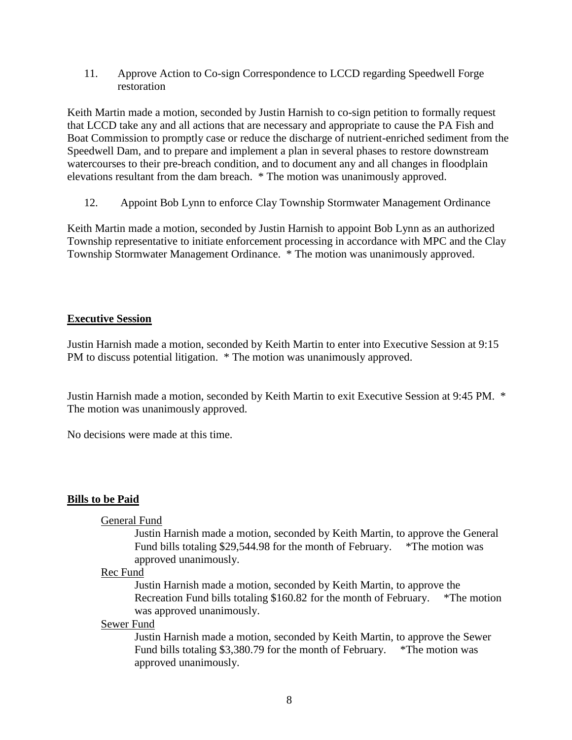11. Approve Action to Co-sign Correspondence to LCCD regarding Speedwell Forge restoration

Keith Martin made a motion, seconded by Justin Harnish to co-sign petition to formally request that LCCD take any and all actions that are necessary and appropriate to cause the PA Fish and Boat Commission to promptly case or reduce the discharge of nutrient-enriched sediment from the Speedwell Dam, and to prepare and implement a plan in several phases to restore downstream watercourses to their pre-breach condition, and to document any and all changes in floodplain elevations resultant from the dam breach. \* The motion was unanimously approved.

12. Appoint Bob Lynn to enforce Clay Township Stormwater Management Ordinance

Keith Martin made a motion, seconded by Justin Harnish to appoint Bob Lynn as an authorized Township representative to initiate enforcement processing in accordance with MPC and the Clay Township Stormwater Management Ordinance. \* The motion was unanimously approved.

### **Executive Session**

Justin Harnish made a motion, seconded by Keith Martin to enter into Executive Session at 9:15 PM to discuss potential litigation. \* The motion was unanimously approved.

Justin Harnish made a motion, seconded by Keith Martin to exit Executive Session at 9:45 PM. \* The motion was unanimously approved.

No decisions were made at this time.

#### **Bills to be Paid**

#### General Fund

Justin Harnish made a motion, seconded by Keith Martin, to approve the General Fund bills totaling \$29,544.98 for the month of February. \*The motion was approved unanimously.

#### Rec Fund

Justin Harnish made a motion, seconded by Keith Martin, to approve the Recreation Fund bills totaling \$160.82 for the month of February. \*The motion was approved unanimously.

#### Sewer Fund

Justin Harnish made a motion, seconded by Keith Martin, to approve the Sewer Fund bills totaling \$3,380.79 for the month of February. \*The motion was approved unanimously.